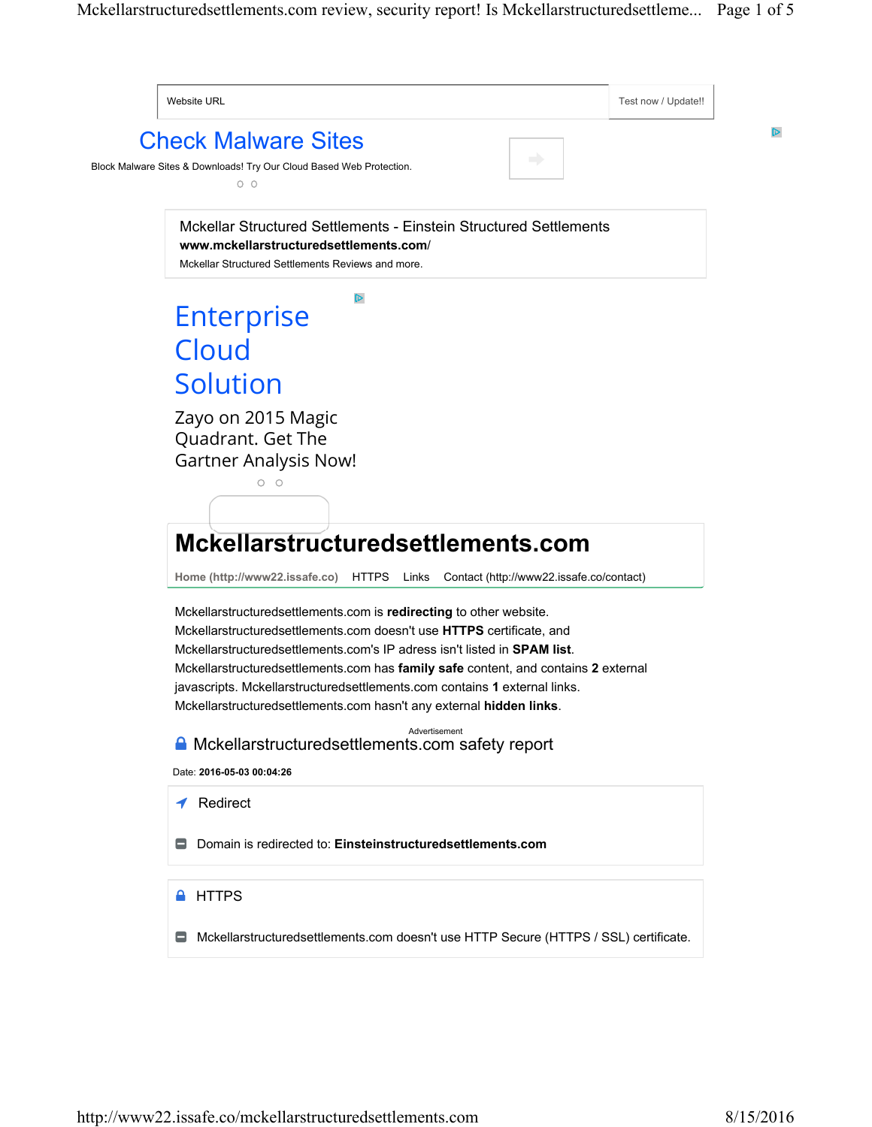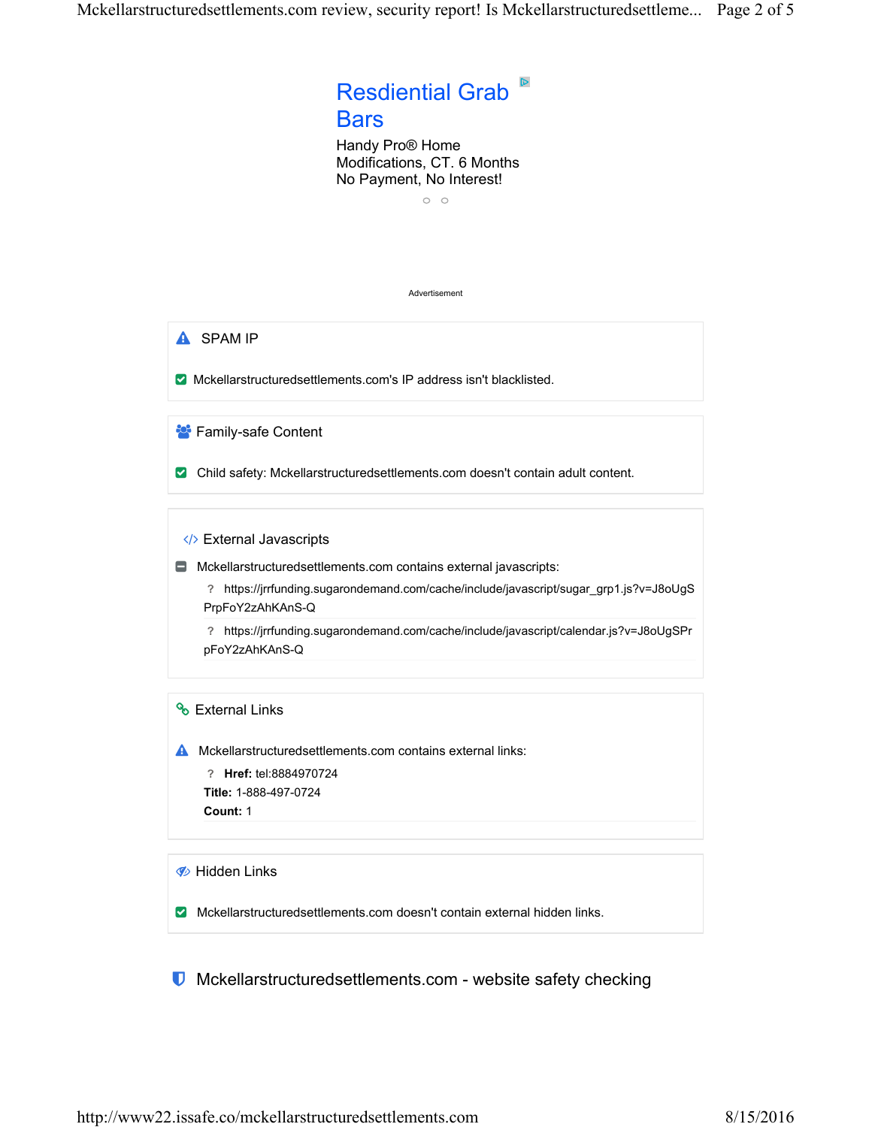# Resdiential Grab **Bars**

Handy Pro® Home Modifications, CT. 6 Months No Payment, No Interest!

 $\circ$   $\circ$ 

#### Advertisement

**A** SPAM IP

Mckellarstructuredsettlements.com's IP address isn't blacklisted.

Family-safe Content Ä

**Z** Child safety: Mckellarstructuredsettlements.com doesn't contain adult content.

</>
External Javascripts

Mckellarstructuredsettlements.com contains external javascripts: −

**?** https://jrrfunding.sugarondemand.com/cache/include/javascript/sugar\_grp1.js?v=J8oUgS PrpFoY2zAhKAnS-Q

**?** https://jrrfunding.sugarondemand.com/cache/include/javascript/calendar.js?v=J8oUgSPr pFoY2zAhKAnS-Q

# ९ External Links

**A** Mckellarstructuredsettlements.com contains external links:

**? Href:** tel:8884970724 **Title:** 1-888-497-0724 **Count:** 1

**B** Hidden Links

**Mckellarstructuredsettlements.com doesn't contain external hidden links.** 

**U** Mckellarstructuredsettlements.com - website safety checking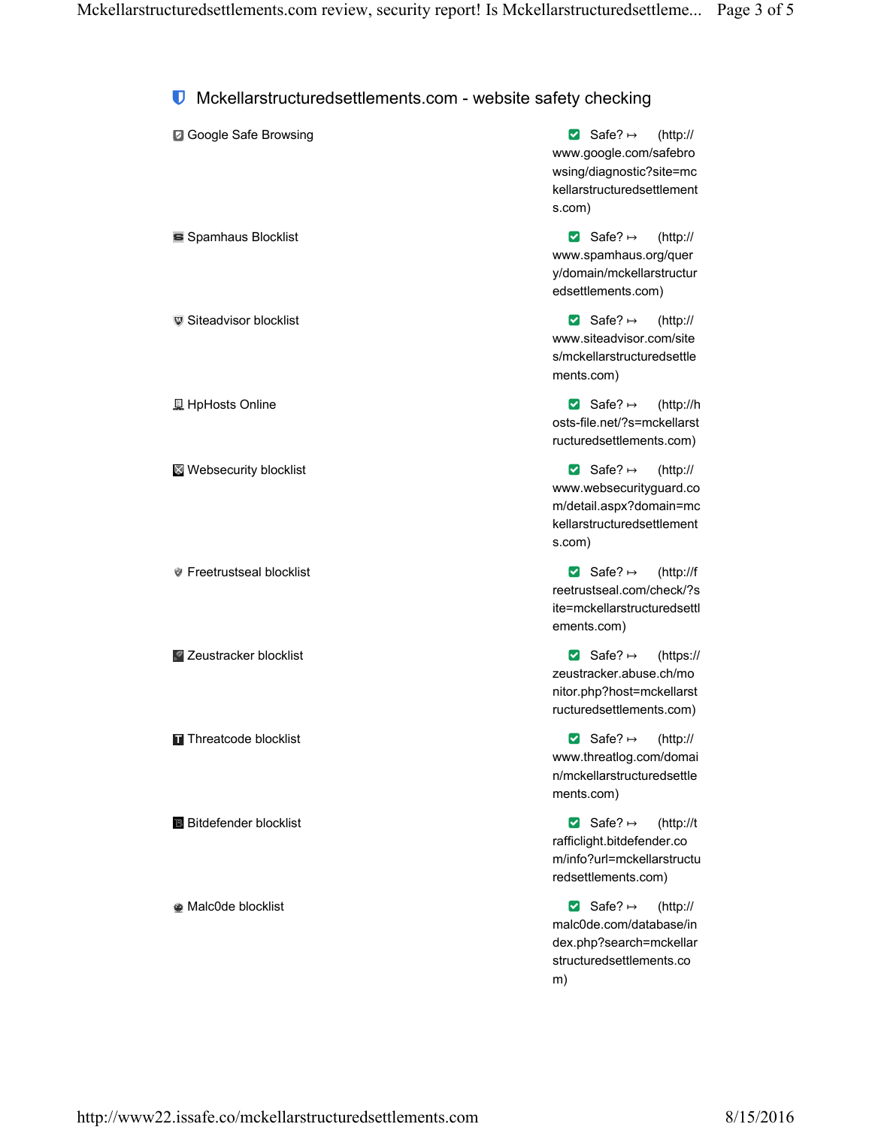# **U** Mckellarstructuredsettlements.com - website safety checking

| ■ Google Safe Browsing         | Safe? $\mapsto$ (http:/<br>www.google.com/safebre<br>wsing/diagnostic?site=m<br>kellarstructuredsettlemer<br>s.com) |
|--------------------------------|---------------------------------------------------------------------------------------------------------------------|
| Signamhaus Blocklist           | Safe? $\mapsto$ (http:/<br>www.spamhaus.org/que<br>y/domain/mckellarstructu<br>edsettlements.com)                   |
| <b>■</b> Siteadvisor blocklist | Safe? $\mapsto$ (http:/<br>www.siteadvisor.com/site<br>s/mckellarstructuredsettl<br>ments.com)                      |
| <u>具</u> HpHosts Online        | ⊠ Safe? $\mapsto$<br>$(htp$ :/                                                                                      |

**Websecurity blocklist** 

*C* Freetrustseal blocklist

Zeustracker blocklist

Threatcode blocklist

**Bitdefender blocklist** 

Malc0de blocklist

 $^{\prime\prime}$ o ١C nt

// ١r ur

 $^{\prime\prime}$ e le

://h osts-file.net/?s=mckellarst ructuredsettlements.com)

Safe?  $\mapsto$  (http:// www.websecurityguard.co m/detail.aspx?domain=mc kellarstructuredsettlement s.com)

 $\triangleright$  Safe?  $\mapsto$ (http://f reetrustseal.com/check/?s ite=mckellarstructuredsettl ements.com)

Safe?  $\mapsto$ (https:// zeustracker.abuse.ch/mo nitor.php?host=mckellarst ructuredsettlements.com)

Safe?  $\mapsto$  (http:// www.threatlog.com/domai n/mckellarstructuredsettle ments.com)

 $\triangleright$  Safe?  $\mapsto$  $(htp://t$ rafficlight.bitdefender.co m/info?url=mckellarstructu redsettlements.com)

Safe?  $\mapsto$  $(htp://$ malc0de.com/database/in dex.php?search=mckellar structuredsettlements.co m)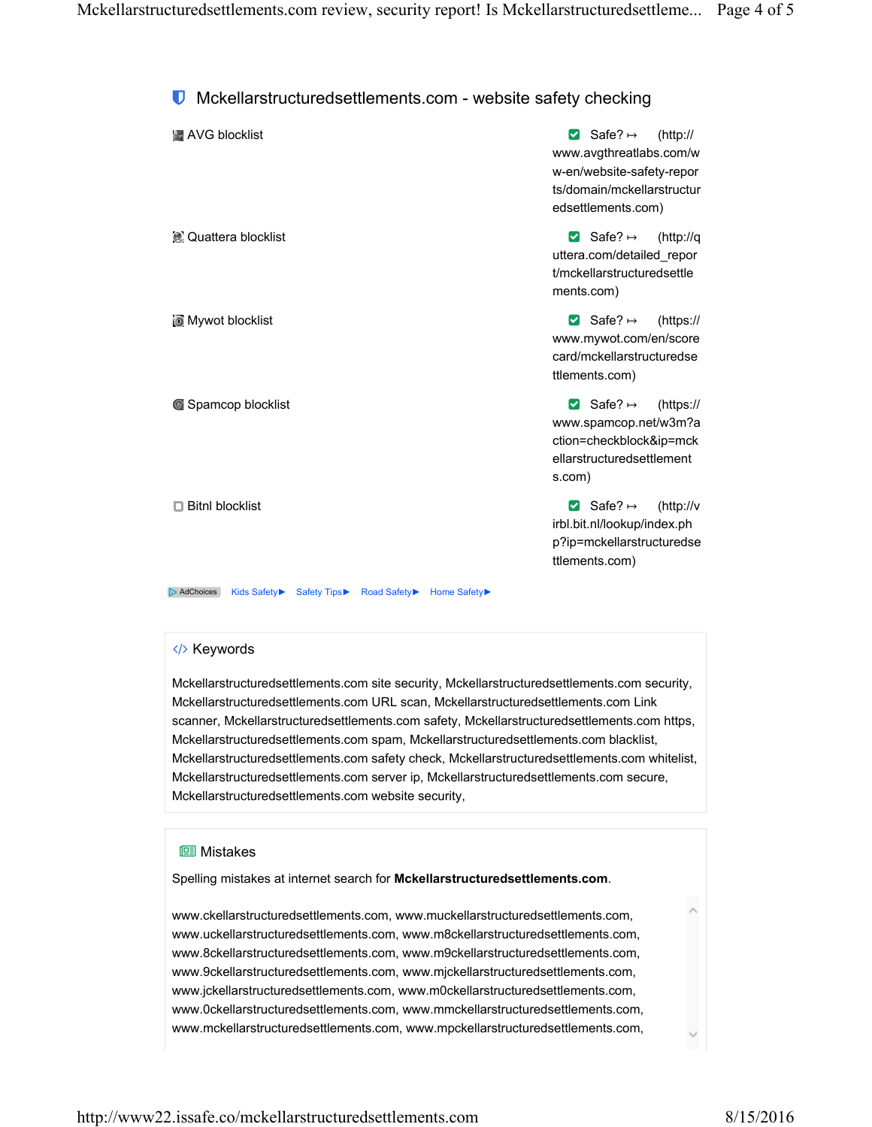# **U** Mckellarstructuredsettlements.com - website safety checking

| AVG blocklist                                                                    | ⊠ Safe? $\mapsto$<br>(htp://<br>www.avgthreatlabs.com/w<br>w-en/website-safety-repor<br>ts/domain/mckellarstructur<br>edsettlements.com) |
|----------------------------------------------------------------------------------|------------------------------------------------------------------------------------------------------------------------------------------|
| <b>C</b> Quattera blocklist                                                      | ⊠ Safe? $\mapsto$<br>(http://q<br>uttera.com/detailed repor<br>t/mckellarstructuredsettle<br>ments.com)                                  |
| Mywot blocklist                                                                  | ⊠ Safe? $\mapsto$<br>(htps://<br>www.mywot.com/en/score<br>card/mckellarstructuredse<br>ttlements.com)                                   |
| Spamcop blocklist                                                                | ⊠ Safe? $\mapsto$<br>(htps://<br>www.spamcop.net/w3m?a<br>ction=checkblock&ip=mck<br>ellarstructuredsettlement<br>s.com)                 |
| $\Box$ Bitnl blocklist                                                           | ⊠ Safe? $\mapsto$<br>(htp://v)<br>irbl.bit.nl/lookup/index.ph<br>p?ip=mckellarstructuredse<br>ttlements.com)                             |
| AdChoices<br><b>Kids Safety</b> ▶<br><b>Safety Tips</b> ▶<br><b>Road Safety▶</b> | <b>Home Safety</b>                                                                                                                       |

## </> Keywords

Mckellarstructuredsettlements.com site security, Mckellarstructuredsettlements.com security, Mckellarstructuredsettlements.com URL scan, Mckellarstructuredsettlements.com Link scanner, Mckellarstructuredsettlements.com safety, Mckellarstructuredsettlements.com https, Mckellarstructuredsettlements.com spam, Mckellarstructuredsettlements.com blacklist, Mckellarstructuredsettlements.com safety check, Mckellarstructuredsettlements.com whitelist, Mckellarstructuredsettlements.com server ip, Mckellarstructuredsettlements.com secure, Mckellarstructuredsettlements.com website security,

### **l**istakes

Spelling mistakes at internet search for **Mckellarstructuredsettlements.com**.

www.ckellarstructuredsettlements.com, www.muckellarstructuredsettlements.com, www.uckellarstructuredsettlements.com, www.m8ckellarstructuredsettlements.com, www.8ckellarstructuredsettlements.com, www.m9ckellarstructuredsettlements.com, www.9ckellarstructuredsettlements.com, www.mjckellarstructuredsettlements.com, www.jckellarstructuredsettlements.com, www.m0ckellarstructuredsettlements.com, www.0ckellarstructuredsettlements.com, www.mmckellarstructuredsettlements.com, www.mckellarstructuredsettlements.com, www.mpckellarstructuredsettlements.com,  $\land$ 

 $\checkmark$